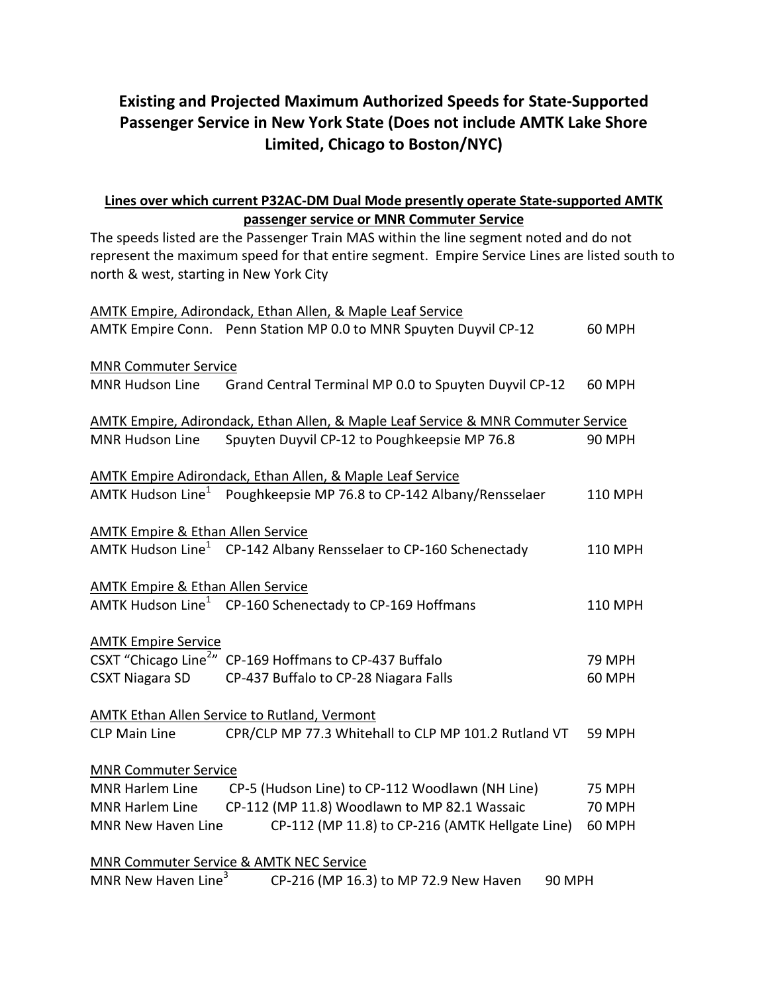# **Existing and Projected Maximum Authorized Speeds for State-Supported Passenger Service in New York State (Does not include AMTK Lake Shore Limited, Chicago to Boston/NYC)**

## **Lines over which current P32AC-DM Dual Mode presently operate State-supported AMTK passenger service or MNR Commuter Service**

The speeds listed are the Passenger Train MAS within the line segment noted and do not represent the maximum speed for that entire segment. Empire Service Lines are listed south to north & west, starting in New York City

|                                              | AMTK Empire, Adirondack, Ethan Allen, & Maple Leaf Service                        |               |
|----------------------------------------------|-----------------------------------------------------------------------------------|---------------|
|                                              | AMTK Empire Conn. Penn Station MP 0.0 to MNR Spuyten Duyvil CP-12                 | <b>60 MPH</b> |
| <b>MNR Commuter Service</b>                  |                                                                                   |               |
| <b>MNR Hudson Line</b>                       | Grand Central Terminal MP 0.0 to Spuyten Duyvil CP-12                             | <b>60 MPH</b> |
|                                              | AMTK Empire, Adirondack, Ethan Allen, & Maple Leaf Service & MNR Commuter Service |               |
| <b>MNR Hudson Line</b>                       | Spuyten Duyvil CP-12 to Poughkeepsie MP 76.8                                      | <b>90 MPH</b> |
|                                              | <b>AMTK Empire Adirondack, Ethan Allen, &amp; Maple Leaf Service</b>              |               |
| AMTK Hudson Line <sup>1</sup>                | Poughkeepsie MP 76.8 to CP-142 Albany/Rensselaer                                  | 110 MPH       |
| <b>AMTK Empire &amp; Ethan Allen Service</b> |                                                                                   |               |
|                                              | AMTK Hudson Line <sup>1</sup> CP-142 Albany Rensselaer to CP-160 Schenectady      | 110 MPH       |
| <b>AMTK Empire &amp; Ethan Allen Service</b> |                                                                                   |               |
|                                              | AMTK Hudson Line <sup>1</sup> CP-160 Schenectady to CP-169 Hoffmans               | 110 MPH       |
| <b>AMTK Empire Service</b>                   |                                                                                   |               |
|                                              | CSXT "Chicago Line <sup>2</sup> " CP-169 Hoffmans to CP-437 Buffalo               | <b>79 MPH</b> |
| <b>CSXT Niagara SD</b>                       | CP-437 Buffalo to CP-28 Niagara Falls<br><b>60 MPH</b>                            |               |
|                                              | <b>AMTK Ethan Allen Service to Rutland, Vermont</b>                               |               |
| <b>CLP Main Line</b>                         | CPR/CLP MP 77.3 Whitehall to CLP MP 101.2 Rutland VT                              | <b>59 MPH</b> |
| <b>MNR Commuter Service</b>                  |                                                                                   |               |
| MNR Harlem Line                              | CP-5 (Hudson Line) to CP-112 Woodlawn (NH Line)                                   | <b>75 MPH</b> |
| <b>MNR Harlem Line</b>                       | CP-112 (MP 11.8) Woodlawn to MP 82.1 Wassaic                                      | <b>70 MPH</b> |
| MNR New Haven Line                           | CP-112 (MP 11.8) to CP-216 (AMTK Hellgate Line)                                   | <b>60 MPH</b> |
|                                              | <b>MNR Commuter Service &amp; AMTK NEC Service</b>                                |               |
| MNR New Haven Line <sup>3</sup>              | CP-216 (MP 16.3) to MP 72.9 New Haven                                             | <b>90 MPH</b> |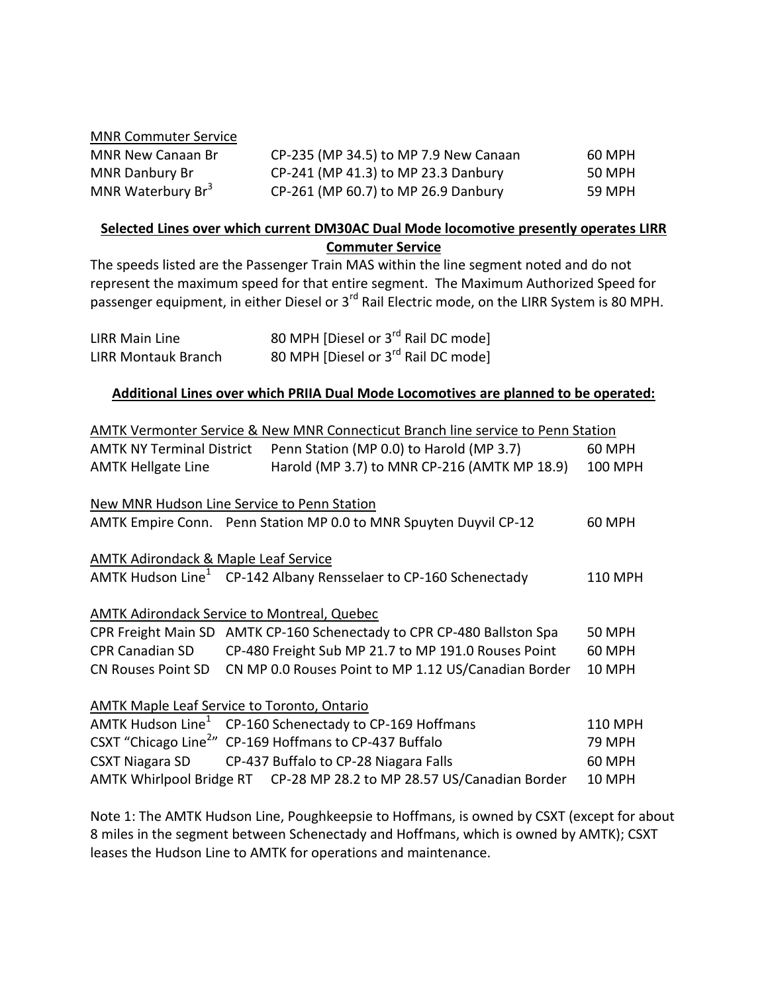#### MNR Commuter Service

| MNR New Canaan Br             | CP-235 (MP 34.5) to MP 7.9 New Canaan | 60 MPH |
|-------------------------------|---------------------------------------|--------|
| <b>MNR Danbury Br</b>         | CP-241 (MP 41.3) to MP 23.3 Danbury   | 50 MPH |
| MNR Waterbury Br <sup>3</sup> | CP-261 (MP 60.7) to MP 26.9 Danbury   | 59 MPH |

### **Selected Lines over which current DM30AC Dual Mode locomotive presently operates LIRR Commuter Service**

The speeds listed are the Passenger Train MAS within the line segment noted and do not represent the maximum speed for that entire segment. The Maximum Authorized Speed for passenger equipment, in either Diesel or 3<sup>rd</sup> Rail Electric mode, on the LIRR System is 80 MPH.

| LIRR Main Line             | 80 MPH [Diesel or 3 <sup>rd</sup> Rail DC mode] |
|----------------------------|-------------------------------------------------|
| <b>LIRR Montauk Branch</b> | 80 MPH [Diesel or 3 <sup>rd</sup> Rail DC mode] |

#### **Additional Lines over which PRIIA Dual Mode Locomotives are planned to be operated:**

|                                                                       |  | AMTK Vermonter Service & New MNR Connecticut Branch line service to Penn Station |                |  |  |  |  |
|-----------------------------------------------------------------------|--|----------------------------------------------------------------------------------|----------------|--|--|--|--|
| <b>AMTK NY Terminal District</b>                                      |  | Penn Station (MP 0.0) to Harold (MP 3.7)                                         | 60 MPH         |  |  |  |  |
| <b>AMTK Hellgate Line</b>                                             |  | Harold (MP 3.7) to MNR CP-216 (AMTK MP 18.9)                                     | <b>100 MPH</b> |  |  |  |  |
|                                                                       |  |                                                                                  |                |  |  |  |  |
| New MNR Hudson Line Service to Penn Station                           |  |                                                                                  |                |  |  |  |  |
|                                                                       |  | AMTK Empire Conn. Penn Station MP 0.0 to MNR Spuyten Duyvil CP-12                | 60 MPH         |  |  |  |  |
|                                                                       |  |                                                                                  |                |  |  |  |  |
| <b>AMTK Adirondack &amp; Maple Leaf Service</b>                       |  |                                                                                  |                |  |  |  |  |
|                                                                       |  | AMTK Hudson Line <sup>1</sup> CP-142 Albany Rensselaer to CP-160 Schenectady     | 110 MPH        |  |  |  |  |
|                                                                       |  |                                                                                  |                |  |  |  |  |
| <b>AMTK Adirondack Service to Montreal, Quebec</b>                    |  |                                                                                  |                |  |  |  |  |
|                                                                       |  | CPR Freight Main SD AMTK CP-160 Schenectady to CPR CP-480 Ballston Spa           | <b>50 MPH</b>  |  |  |  |  |
| <b>CPR Canadian SD</b>                                                |  | CP-480 Freight Sub MP 21.7 to MP 191.0 Rouses Point                              | 60 MPH         |  |  |  |  |
| <b>CN Rouses Point SD</b>                                             |  | CN MP 0.0 Rouses Point to MP 1.12 US/Canadian Border                             | 10 MPH         |  |  |  |  |
|                                                                       |  |                                                                                  |                |  |  |  |  |
| <b>AMTK Maple Leaf Service to Toronto, Ontario</b>                    |  |                                                                                  |                |  |  |  |  |
| AMTK Hudson Line <sup>1</sup>                                         |  | CP-160 Schenectady to CP-169 Hoffmans                                            | 110 MPH        |  |  |  |  |
|                                                                       |  | CSXT "Chicago Line <sup>2</sup> " CP-169 Hoffmans to CP-437 Buffalo              | <b>79 MPH</b>  |  |  |  |  |
|                                                                       |  | CSXT Niagara SD CP-437 Buffalo to CP-28 Niagara Falls                            | <b>60 MPH</b>  |  |  |  |  |
| AMTK Whirlpool Bridge RT CP-28 MP 28.2 to MP 28.57 US/Canadian Border |  |                                                                                  |                |  |  |  |  |

Note 1: The AMTK Hudson Line, Poughkeepsie to Hoffmans, is owned by CSXT (except for about 8 miles in the segment between Schenectady and Hoffmans, which is owned by AMTK); CSXT leases the Hudson Line to AMTK for operations and maintenance.